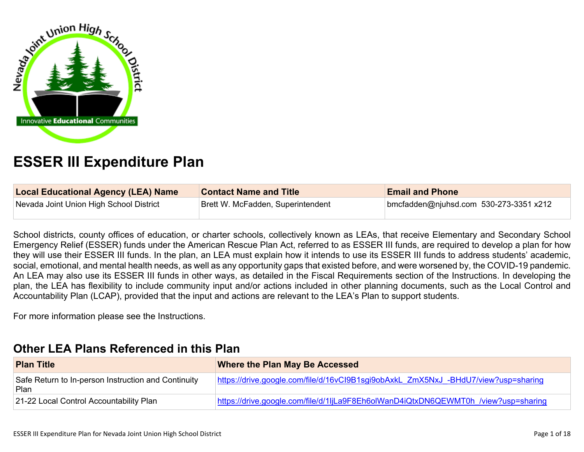

# **ESSER III Expenditure Plan**

| <b>Local Educational Agency (LEA) Name</b> | <b>Contact Name and Title</b>     | <b>Email and Phone</b>                 |
|--------------------------------------------|-----------------------------------|----------------------------------------|
| Nevada Joint Union High School District    | Brett W. McFadden, Superintendent | bmcfadden@njuhsd.com 530-273-3351 x212 |

School districts, county offices of education, or charter schools, collectively known as LEAs, that receive Elementary and Secondary School Emergency Relief (ESSER) funds under the American Rescue Plan Act, referred to as ESSER III funds, are required to develop a plan for how they will use their ESSER III funds. In the plan, an LEA must explain how it intends to use its ESSER III funds to address students' academic, social, emotional, and mental health needs, as well as any opportunity gaps that existed before, and were worsened by, the COVID-19 pandemic. An LEA may also use its ESSER III funds in other ways, as detailed in the Fiscal Requirements section of the Instructions. In developing the plan, the LEA has flexibility to include community input and/or actions included in other planning documents, such as the Local Control and Accountability Plan (LCAP), provided that the input and actions are relevant to the LEA's Plan to support students.

For more information please see the Instructions.

## **[Other LEA Plans Referenced in this Plan](#page-12-0)**

| <b>Plan Title</b>                                             | <b>Where the Plan May Be Accessed</b>                                              |
|---------------------------------------------------------------|------------------------------------------------------------------------------------|
| Safe Return to In-person Instruction and Continuity<br>∣ Plan | https://drive.google.com/file/d/16vCl9B1sgi9obAxkL_ZmX5NxJ_-BHdU7/view?usp=sharing |
| 21-22 Local Control Accountability Plan                       | https://drive.google.com/file/d/1ljLa9F8Eh6olWanD4iQtxDN6QEWMT0h /view?usp=sharing |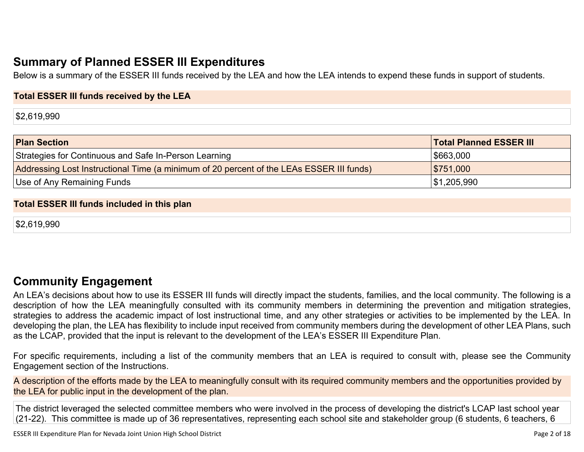# **[Summary of Planned ESSER III Expenditures](#page-12-1)**

Below is a summary of the ESSER III funds received by the LEA and how the LEA intends to expend these funds in support of students.

#### **Total ESSER III funds received by the LEA**

\$2,619,990

| <b>Plan Section</b>                                                                      | <b>Total Planned ESSER III</b> |
|------------------------------------------------------------------------------------------|--------------------------------|
| Strategies for Continuous and Safe In-Person Learning                                    | \$663,000                      |
| Addressing Lost Instructional Time (a minimum of 20 percent of the LEAs ESSER III funds) | \$751,000                      |
| Use of Any Remaining Funds                                                               | ∫\$1,205,990                   |

#### **Total ESSER III funds included in this plan**

\$2,619,990

## **[Community Engagement](#page-13-0)**

An LEA's decisions about how to use its ESSER III funds will directly impact the students, families, and the local community. The following is a description of how the LEA meaningfully consulted with its community members in determining the prevention and mitigation strategies, strategies to address the academic impact of lost instructional time, and any other strategies or activities to be implemented by the LEA. In developing the plan, the LEA has flexibility to include input received from community members during the development of other LEA Plans, such as the LCAP, provided that the input is relevant to the development of the LEA's ESSER III Expenditure Plan.

For specific requirements, including a list of the community members that an LEA is required to consult with, please see the Community Engagement section of the Instructions.

A description of the efforts made by the LEA to meaningfully consult with its required community members and the opportunities provided by the LEA for public input in the development of the plan.

The district leveraged the selected committee members who were involved in the process of developing the district's LCAP last school year (21-22). This committee is made up of 36 representatives, representing each school site and stakeholder group (6 students, 6 teachers, 6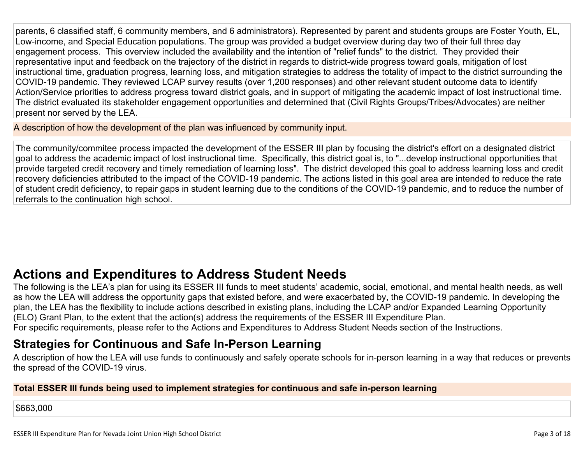parents, 6 classified staff, 6 community members, and 6 administrators). Represented by parent and students groups are Foster Youth, EL, Low-income, and Special Education populations. The group was provided a budget overview during day two of their full three day engagement process. This overview included the availability and the intention of "relief funds" to the district. They provided their representative input and feedback on the trajectory of the district in regards to district-wide progress toward goals, mitigation of lost instructional time, graduation progress, learning loss, and mitigation strategies to address the totality of impact to the district surrounding the COVID-19 pandemic. They reviewed LCAP survey results (over 1,200 responses) and other relevant student outcome data to identify Action/Service priorities to address progress toward district goals, and in support of mitigating the academic impact of lost instructional time. The district evaluated its stakeholder engagement opportunities and determined that (Civil Rights Groups/Tribes/Advocates) are neither present nor served by the LEA.

A description of how the development of the plan was influenced by community input.

The community/commitee process impacted the development of the ESSER III plan by focusing the district's effort on a designated district goal to address the academic impact of lost instructional time. Specifically, this district goal is, to "...develop instructional opportunities that provide targeted credit recovery and timely remediation of learning loss". The district developed this goal to address learning loss and credit recovery deficiencies attributed to the impact of the COVID-19 pandemic. The actions listed in this goal area are intended to reduce the rate of student credit deficiency, to repair gaps in student learning due to the conditions of the COVID-19 pandemic, and to reduce the number of referrals to the continuation high school.

# **[Actions and Expenditures to Address Student Needs](#page-15-0)**

The following is the LEA's plan for using its ESSER III funds to meet students' academic, social, emotional, and mental health needs, as well as how the LEA will address the opportunity gaps that existed before, and were exacerbated by, the COVID-19 pandemic. In developing the plan, the LEA has the flexibility to include actions described in existing plans, including the LCAP and/or Expanded Learning Opportunity (ELO) Grant Plan, to the extent that the action(s) address the requirements of the ESSER III Expenditure Plan.

For specific requirements, please refer to the Actions and Expenditures to Address Student Needs section of the Instructions.

## **[Strategies for Continuous and Safe In-Person Learning](#page-15-1)**

A description of how the LEA will use funds to continuously and safely operate schools for in-person learning in a way that reduces or prevents the spread of the COVID-19 virus.

#### **Total ESSER III funds being used to implement strategies for continuous and safe in-person learning**

\$663,000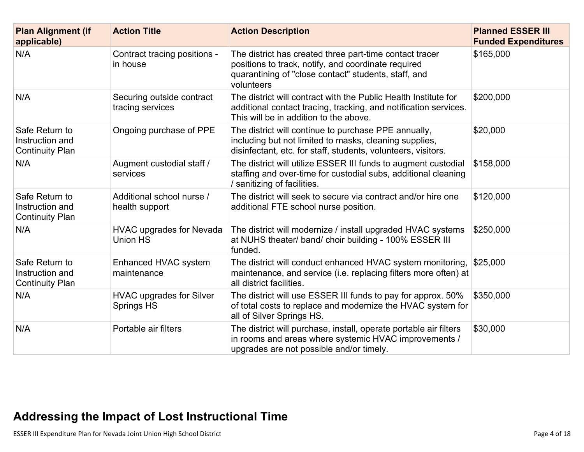| <b>Plan Alignment (if</b><br>applicable)                    | <b>Action Title</b>                           | <b>Action Description</b>                                                                                                                                                            | <b>Planned ESSER III</b><br><b>Funded Expenditures</b> |
|-------------------------------------------------------------|-----------------------------------------------|--------------------------------------------------------------------------------------------------------------------------------------------------------------------------------------|--------------------------------------------------------|
| N/A                                                         | Contract tracing positions -<br>in house      | The district has created three part-time contact tracer<br>positions to track, notify, and coordinate required<br>quarantining of "close contact" students, staff, and<br>volunteers | \$165,000                                              |
| N/A                                                         | Securing outside contract<br>tracing services | The district will contract with the Public Health Institute for<br>additional contact tracing, tracking, and notification services.<br>This will be in addition to the above.        | \$200,000                                              |
| Safe Return to<br>Instruction and<br><b>Continuity Plan</b> | Ongoing purchase of PPE                       | The district will continue to purchase PPE annually,<br>including but not limited to masks, cleaning supplies,<br>disinfectant, etc. for staff, students, volunteers, visitors.      | \$20,000                                               |
| N/A                                                         | Augment custodial staff /<br>services         | The district will utilize ESSER III funds to augment custodial<br>staffing and over-time for custodial subs, additional cleaning<br>/ sanitizing of facilities.                      | \$158,000                                              |
| Safe Return to<br>Instruction and<br><b>Continuity Plan</b> | Additional school nurse /<br>health support   | The district will seek to secure via contract and/or hire one<br>additional FTE school nurse position.                                                                               | \$120,000                                              |
| N/A                                                         | <b>HVAC upgrades for Nevada</b><br>Union HS   | The district will modernize / install upgraded HVAC systems<br>at NUHS theater/ band/ choir building - 100% ESSER III<br>funded.                                                     | \$250,000                                              |
| Safe Return to<br>Instruction and<br><b>Continuity Plan</b> | Enhanced HVAC system<br>maintenance           | The district will conduct enhanced HVAC system monitoring,<br>maintenance, and service (i.e. replacing filters more often) at<br>all district facilities.                            | \$25,000                                               |
| N/A                                                         | <b>HVAC upgrades for Silver</b><br>Springs HS | The district will use ESSER III funds to pay for approx. 50%<br>of total costs to replace and modernize the HVAC system for<br>all of Silver Springs HS.                             | \$350,000                                              |
| N/A                                                         | Portable air filters                          | The district will purchase, install, operate portable air filters<br>in rooms and areas where systemic HVAC improvements /<br>upgrades are not possible and/or timely.               | \$30,000                                               |

# **[Addressing the Impact of Lost Instructional Time](#page-16-0)**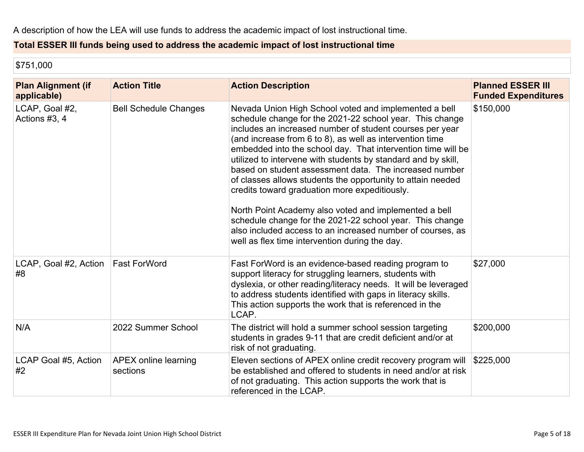## **Total ESSER III funds being used to address the academic impact of lost instructional time**

\$751,000

| <b>Plan Alignment (if</b><br>applicable) | <b>Action Title</b>              | <b>Action Description</b>                                                                                                                                                                                                                                                                                                                                                                                                                                                                                                                                                                                                                                                                                                                                                                 | <b>Planned ESSER III</b><br><b>Funded Expenditures</b> |
|------------------------------------------|----------------------------------|-------------------------------------------------------------------------------------------------------------------------------------------------------------------------------------------------------------------------------------------------------------------------------------------------------------------------------------------------------------------------------------------------------------------------------------------------------------------------------------------------------------------------------------------------------------------------------------------------------------------------------------------------------------------------------------------------------------------------------------------------------------------------------------------|--------------------------------------------------------|
| LCAP, Goal #2,<br>Actions #3, 4          | <b>Bell Schedule Changes</b>     | Nevada Union High School voted and implemented a bell<br>schedule change for the 2021-22 school year. This change<br>includes an increased number of student courses per year<br>(and increase from 6 to 8), as well as intervention time<br>embedded into the school day. That intervention time will be<br>utilized to intervene with students by standard and by skill,<br>based on student assessment data. The increased number<br>of classes allows students the opportunity to attain needed<br>credits toward graduation more expeditiously.<br>North Point Academy also voted and implemented a bell<br>schedule change for the 2021-22 school year. This change<br>also included access to an increased number of courses, as<br>well as flex time intervention during the day. | \$150,000                                              |
| LCAP, Goal #2, Action<br>#8              | <b>Fast ForWord</b>              | Fast ForWord is an evidence-based reading program to<br>support literacy for struggling learners, students with<br>dyslexia, or other reading/literacy needs. It will be leveraged<br>to address students identified with gaps in literacy skills.<br>This action supports the work that is referenced in the<br>LCAP.                                                                                                                                                                                                                                                                                                                                                                                                                                                                    | \$27,000                                               |
| N/A                                      | 2022 Summer School               | The district will hold a summer school session targeting<br>students in grades 9-11 that are credit deficient and/or at<br>risk of not graduating.                                                                                                                                                                                                                                                                                                                                                                                                                                                                                                                                                                                                                                        | \$200,000                                              |
| LCAP Goal #5, Action<br>#2               | APEX online learning<br>sections | Eleven sections of APEX online credit recovery program will<br>be established and offered to students in need and/or at risk<br>of not graduating. This action supports the work that is<br>referenced in the LCAP.                                                                                                                                                                                                                                                                                                                                                                                                                                                                                                                                                                       | \$225,000                                              |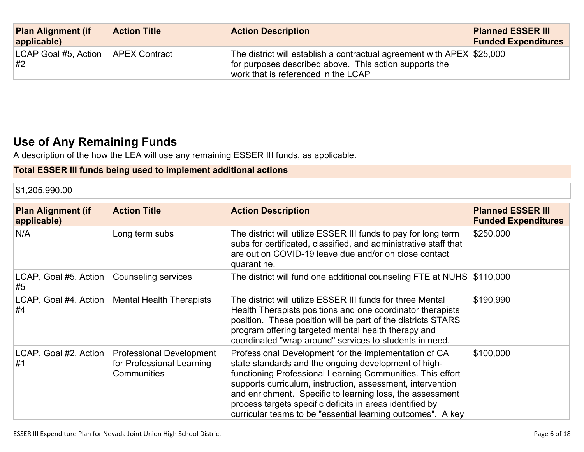| <b>Plan Alignment (if</b><br>applicable) | <b>Action Title</b>  | <b>Action Description</b>                                                                                                                                                | <b>Planned ESSER III</b><br><b>Funded Expenditures</b> |
|------------------------------------------|----------------------|--------------------------------------------------------------------------------------------------------------------------------------------------------------------------|--------------------------------------------------------|
| LCAP Goal #5, Action<br>#2               | <b>APEX Contract</b> | The district will establish a contractual agreement with APEX $$25,000$<br>for purposes described above. This action supports the<br>work that is referenced in the LCAP |                                                        |

# **[Use of Any Remaining Funds](#page-16-1)**

A description of the how the LEA will use any remaining ESSER III funds, as applicable.

## **Total ESSER III funds being used to implement additional actions**

\$1,205,990.00

| <b>Plan Alignment (if</b><br>applicable) | <b>Action Title</b>                                                         | <b>Action Description</b>                                                                                                                                                                                                                                                                                                                                                                                                         | <b>Planned ESSER III</b><br><b>Funded Expenditures</b> |
|------------------------------------------|-----------------------------------------------------------------------------|-----------------------------------------------------------------------------------------------------------------------------------------------------------------------------------------------------------------------------------------------------------------------------------------------------------------------------------------------------------------------------------------------------------------------------------|--------------------------------------------------------|
| N/A                                      | Long term subs                                                              | The district will utilize ESSER III funds to pay for long term<br>subs for certificated, classified, and administrative staff that<br>are out on COVID-19 leave due and/or on close contact<br>quarantine.                                                                                                                                                                                                                        | \$250,000                                              |
| LCAP, Goal #5, Action<br>#5              | Counseling services                                                         | The district will fund one additional counseling FTE at NUHS \$110,000                                                                                                                                                                                                                                                                                                                                                            |                                                        |
| #4                                       | LCAP, Goal #4, Action   Mental Health Therapists                            | The district will utilize ESSER III funds for three Mental<br>Health Therapists positions and one coordinator therapists<br>position. These position will be part of the districts STARS<br>program offering targeted mental health therapy and<br>coordinated "wrap around" services to students in need.                                                                                                                        | \$190,990                                              |
| LCAP, Goal #2, Action<br>#1              | <b>Professional Development</b><br>for Professional Learning<br>Communities | Professional Development for the implementation of CA<br>state standards and the ongoing development of high-<br>functioning Professional Learning Communities. This effort<br>supports curriculum, instruction, assessment, intervention<br>and enrichment. Specific to learning loss, the assessment<br>process targets specific deficits in areas identified by<br>curricular teams to be "essential learning outcomes". A key | \$100,000                                              |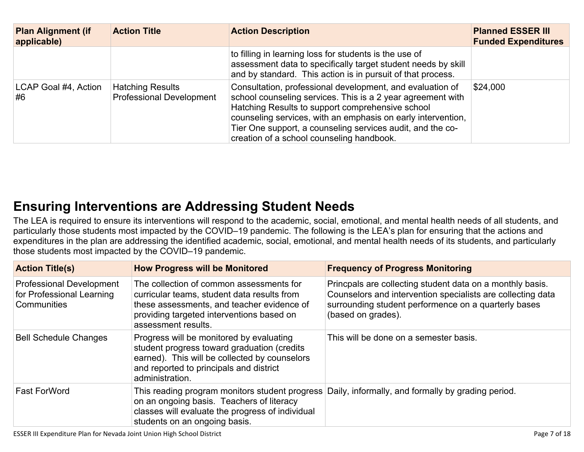| <b>Plan Alignment (if</b><br>applicable) | <b>Action Title</b>                                        | <b>Action Description</b>                                                                                                                                                                                                                                                                                                                               | <b>Planned ESSER III</b><br><b>Funded Expenditures</b> |
|------------------------------------------|------------------------------------------------------------|---------------------------------------------------------------------------------------------------------------------------------------------------------------------------------------------------------------------------------------------------------------------------------------------------------------------------------------------------------|--------------------------------------------------------|
|                                          |                                                            | to filling in learning loss for students is the use of<br>assessment data to specifically target student needs by skill<br>and by standard. This action is in pursuit of that process.                                                                                                                                                                  |                                                        |
| LCAP Goal #4, Action<br>#6               | <b>Hatching Results</b><br><b>Professional Development</b> | Consultation, professional development, and evaluation of<br>school counseling services. This is a 2 year agreement with<br>Hatching Results to support comprehensive school<br>counseling services, with an emphasis on early intervention,<br>Tier One support, a counseling services audit, and the co-<br>creation of a school counseling handbook. | \$24,000                                               |

# **[Ensuring Interventions are Addressing Student Needs](#page-16-2)**

The LEA is required to ensure its interventions will respond to the academic, social, emotional, and mental health needs of all students, and particularly those students most impacted by the COVID–19 pandemic. The following is the LEA's plan for ensuring that the actions and expenditures in the plan are addressing the identified academic, social, emotional, and mental health needs of its students, and particularly those students most impacted by the COVID–19 pandemic.

| <b>Action Title(s)</b>                                                      | <b>How Progress will be Monitored</b>                                                                                                                                                                     | <b>Frequency of Progress Monitoring</b>                                                                                                                                                                |
|-----------------------------------------------------------------------------|-----------------------------------------------------------------------------------------------------------------------------------------------------------------------------------------------------------|--------------------------------------------------------------------------------------------------------------------------------------------------------------------------------------------------------|
| <b>Professional Development</b><br>for Professional Learning<br>Communities | The collection of common assessments for<br>curricular teams, student data results from<br>these assessments, and teacher evidence of<br>providing targeted interventions based on<br>assessment results. | Princpals are collecting student data on a monthly basis.<br>Counselors and intervention specialists are collecting data<br>surrounding student performence on a quarterly bases<br>(based on grades). |
| <b>Bell Schedule Changes</b>                                                | Progress will be monitored by evaluating<br>student progress toward graduation (credits<br>earned). This will be collected by counselors<br>and reported to principals and district<br>administration.    | This will be done on a semester basis.                                                                                                                                                                 |
| <b>Fast ForWord</b>                                                         | on an ongoing basis. Teachers of literacy<br>classes will evaluate the progress of individual<br>students on an ongoing basis.                                                                            | This reading program monitors student progress Daily, informally, and formally by grading period.                                                                                                      |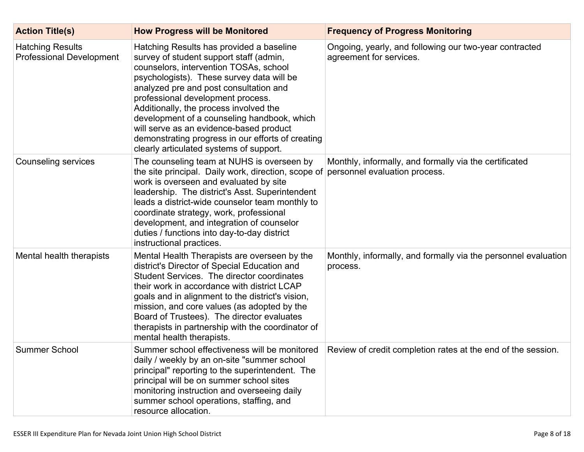| <b>Action Title(s)</b>                                     | <b>How Progress will be Monitored</b>                                                                                                                                                                                                                                                                                                                                                                                                                                                         | <b>Frequency of Progress Monitoring</b>                                           |
|------------------------------------------------------------|-----------------------------------------------------------------------------------------------------------------------------------------------------------------------------------------------------------------------------------------------------------------------------------------------------------------------------------------------------------------------------------------------------------------------------------------------------------------------------------------------|-----------------------------------------------------------------------------------|
| <b>Hatching Results</b><br><b>Professional Development</b> | Hatching Results has provided a baseline<br>survey of student support staff (admin,<br>counselors, intervention TOSAs, school<br>psychologists). These survey data will be<br>analyzed pre and post consultation and<br>professional development process.<br>Additionally, the process involved the<br>development of a counseling handbook, which<br>will serve as an evidence-based product<br>demonstrating progress in our efforts of creating<br>clearly articulated systems of support. | Ongoing, yearly, and following our two-year contracted<br>agreement for services. |
| <b>Counseling services</b>                                 | The counseling team at NUHS is overseen by<br>the site principal. Daily work, direction, scope of personnel evaluation process.<br>work is overseen and evaluated by site<br>leadership. The district's Asst. Superintendent<br>leads a district-wide counselor team monthly to<br>coordinate strategy, work, professional<br>development, and integration of counselor<br>duties / functions into day-to-day district<br>instructional practices.                                            | Monthly, informally, and formally via the certificated                            |
| Mental health therapists                                   | Mental Health Therapists are overseen by the<br>district's Director of Special Education and<br>Student Services. The director coordinates<br>their work in accordance with district LCAP<br>goals and in alignment to the district's vision,<br>mission, and core values (as adopted by the<br>Board of Trustees). The director evaluates<br>therapists in partnership with the coordinator of<br>mental health therapists.                                                                  | Monthly, informally, and formally via the personnel evaluation<br>process.        |
| <b>Summer School</b>                                       | Summer school effectiveness will be monitored<br>daily / weekly by an on-site "summer school<br>principal" reporting to the superintendent. The<br>principal will be on summer school sites<br>monitoring instruction and overseeing daily<br>summer school operations, staffing, and<br>resource allocation.                                                                                                                                                                                 | Review of credit completion rates at the end of the session.                      |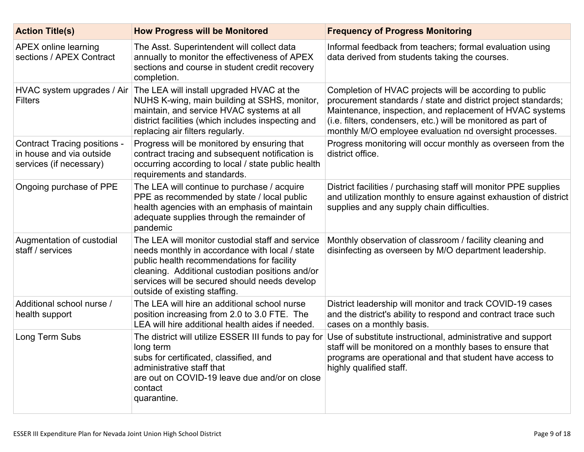| <b>Action Title(s)</b>                                                                     | <b>How Progress will be Monitored</b>                                                                                                                                                                                                                                                 | <b>Frequency of Progress Monitoring</b>                                                                                                                                                                                                                                                                          |
|--------------------------------------------------------------------------------------------|---------------------------------------------------------------------------------------------------------------------------------------------------------------------------------------------------------------------------------------------------------------------------------------|------------------------------------------------------------------------------------------------------------------------------------------------------------------------------------------------------------------------------------------------------------------------------------------------------------------|
| <b>APEX online learning</b><br>sections / APEX Contract                                    | The Asst. Superintendent will collect data<br>annually to monitor the effectiveness of APEX<br>sections and course in student credit recovery<br>completion.                                                                                                                          | Informal feedback from teachers; formal evaluation using<br>data derived from students taking the courses.                                                                                                                                                                                                       |
| HVAC system upgrades / Air<br><b>Filters</b>                                               | The LEA will install upgraded HVAC at the<br>NUHS K-wing, main building at SSHS, monitor,<br>maintain, and service HVAC systems at all<br>district facilities (which includes inspecting and<br>replacing air filters regularly.                                                      | Completion of HVAC projects will be according to public<br>procurement standards / state and district project standards;<br>Maintenance, inspection, and replacement of HVAC systems<br>(i.e. filters, condensers, etc.) will be monitored as part of<br>monthly M/O employee evaluation nd oversight processes. |
| <b>Contract Tracing positions -</b><br>in house and via outside<br>services (if necessary) | Progress will be monitored by ensuring that<br>contract tracing and subsequent notification is<br>occurring according to local / state public health<br>requirements and standards.                                                                                                   | Progress monitoring will occur monthly as overseen from the<br>district office.                                                                                                                                                                                                                                  |
| Ongoing purchase of PPE                                                                    | The LEA will continue to purchase / acquire<br>PPE as recommended by state / local public<br>health agencies with an emphasis of maintain<br>adequate supplies through the remainder of<br>pandemic                                                                                   | District facilities / purchasing staff will monitor PPE supplies<br>and utilization monthly to ensure against exhaustion of district<br>supplies and any supply chain difficulties.                                                                                                                              |
| Augmentation of custodial<br>staff / services                                              | The LEA will monitor custodial staff and service<br>needs monthly in accordance with local / state<br>public health recommendations for facility<br>cleaning. Additional custodian positions and/or<br>services will be secured should needs develop<br>outside of existing staffing. | Monthly observation of classroom / facility cleaning and<br>disinfecting as overseen by M/O department leadership.                                                                                                                                                                                               |
| Additional school nurse /<br>health support                                                | The LEA will hire an additional school nurse<br>position increasing from 2.0 to 3.0 FTE. The<br>LEA will hire additional health aides if needed.                                                                                                                                      | District leadership will monitor and track COVID-19 cases<br>and the district's ability to respond and contract trace such<br>cases on a monthly basis.                                                                                                                                                          |
| Long Term Subs                                                                             | The district will utilize ESSER III funds to pay for<br>long term<br>subs for certificated, classified, and<br>administrative staff that<br>are out on COVID-19 leave due and/or on close<br>contact<br>quarantine.                                                                   | Use of substitute instructional, administrative and support<br>staff will be monitored on a monthly bases to ensure that<br>programs are operational and that student have access to<br>highly qualified staff.                                                                                                  |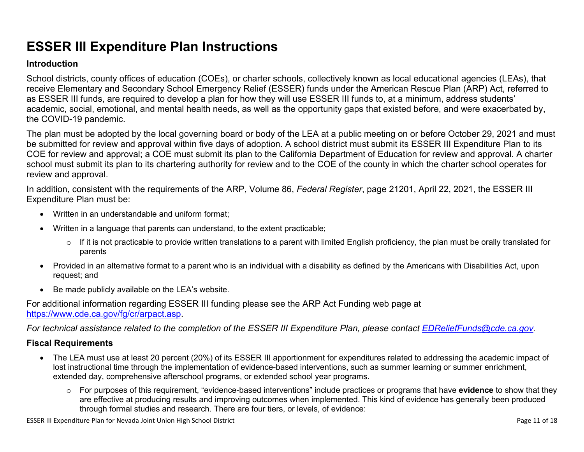# **ESSER III Expenditure Plan Instructions**

#### **Introduction**

School districts, county offices of education (COEs), or charter schools, collectively known as local educational agencies (LEAs), that receive Elementary and Secondary School Emergency Relief (ESSER) funds under the American Rescue Plan (ARP) Act, referred to as ESSER III funds, are required to develop a plan for how they will use ESSER III funds to, at a minimum, address students' academic, social, emotional, and mental health needs, as well as the opportunity gaps that existed before, and were exacerbated by, the COVID-19 pandemic.

The plan must be adopted by the local governing board or body of the LEA at a public meeting on or before October 29, 2021 and must be submitted for review and approval within five days of adoption. A school district must submit its ESSER III Expenditure Plan to its COE for review and approval; a COE must submit its plan to the California Department of Education for review and approval. A charter school must submit its plan to its chartering authority for review and to the COE of the county in which the charter school operates for review and approval.

In addition, consistent with the requirements of the ARP, Volume 86, *Federal Register*, page 21201, April 22, 2021, the ESSER III Expenditure Plan must be:

- Written in an understandable and uniform format;
- Written in a language that parents can understand, to the extent practicable;
	- $\circ$  If it is not practicable to provide written translations to a parent with limited English proficiency, the plan must be orally translated for parents
- Provided in an alternative format to a parent who is an individual with a disability as defined by the Americans with Disabilities Act, upon request; and
- Be made publicly available on the LEA's website.

For additional information regarding ESSER III funding please see the ARP Act Funding web page at <https://www.cde.ca.gov/fg/cr/arpact.asp>.

*For technical assistance related to the completion of the ESSER III Expenditure Plan, please contact [EDReliefFunds@cde.ca.gov](mailto:EDReliefFunds@cde.ca.gov).* 

#### **Fiscal Requirements**

- The LEA must use at least 20 percent (20%) of its ESSER III apportionment for expenditures related to addressing the academic impact of lost instructional time through the implementation of evidence-based interventions, such as summer learning or summer enrichment, extended day, comprehensive afterschool programs, or extended school year programs.
	- o For purposes of this requirement, "evidence-based interventions" include practices or programs that have **evidence** to show that they are effective at producing results and improving outcomes when implemented. This kind of evidence has generally been produced through formal studies and research. There are four tiers, or levels, of evidence:

ESSER III Expenditure Plan for Nevada Joint Union High School District **Page 11** of 18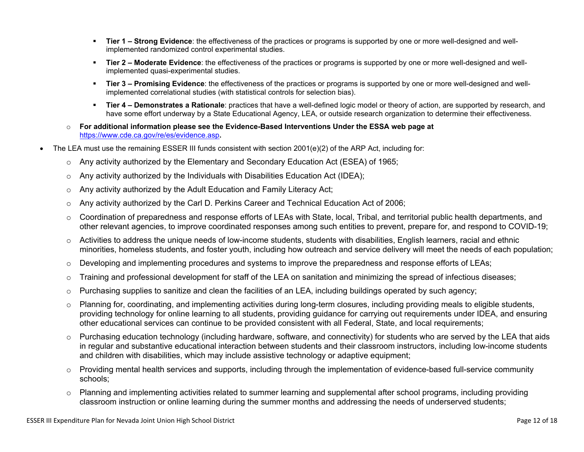- **Tier 1 Strong Evidence**: the effectiveness of the practices or programs is supported by one or more well-designed and wellimplemented randomized control experimental studies.
- **Tier 2 Moderate Evidence**: the effectiveness of the practices or programs is supported by one or more well-designed and wellimplemented quasi-experimental studies.
- Tier 3 Promising Evidence: the effectiveness of the practices or programs is supported by one or more well-designed and wellimplemented correlational studies (with statistical controls for selection bias).
- **EXTIET 4 Demonstrates a Rationale**: practices that have a well-defined logic model or theory of action, are supported by research, and have some effort underway by a State Educational Agency, LEA, or outside research organization to determine their effectiveness.
- o **For additional information please see the Evidence-Based Interventions Under the ESSA web page at**  <https://www.cde.ca.gov/re/es/evidence.asp>**.**
- The LEA must use the remaining ESSER III funds consistent with section 2001(e)(2) of the ARP Act, including for:
	- $\circ$  Any activity authorized by the Elementary and Secondary Education Act (ESEA) of 1965;
	- $\circ$  Any activity authorized by the Individuals with Disabilities Education Act (IDEA);
	- o Any activity authorized by the Adult Education and Family Literacy Act;
	- $\circ$  Any activity authorized by the Carl D. Perkins Career and Technical Education Act of 2006;
	- $\circ$  Coordination of preparedness and response efforts of LEAs with State, local, Tribal, and territorial public health departments, and other relevant agencies, to improve coordinated responses among such entities to prevent, prepare for, and respond to COVID-19;
	- $\circ$  Activities to address the unique needs of low-income students, students with disabilities, English learners, racial and ethnic minorities, homeless students, and foster youth, including how outreach and service delivery will meet the needs of each population;
	- o Developing and implementing procedures and systems to improve the preparedness and response efforts of LEAs;
	- $\circ$  Training and professional development for staff of the LEA on sanitation and minimizing the spread of infectious diseases;
	- $\circ$  Purchasing supplies to sanitize and clean the facilities of an LEA, including buildings operated by such agency;
	- $\circ$  Planning for, coordinating, and implementing activities during long-term closures, including providing meals to eligible students, providing technology for online learning to all students, providing guidance for carrying out requirements under IDEA, and ensuring other educational services can continue to be provided consistent with all Federal, State, and local requirements;
	- $\circ$  Purchasing education technology (including hardware, software, and connectivity) for students who are served by the LEA that aids in regular and substantive educational interaction between students and their classroom instructors, including low-income students and children with disabilities, which may include assistive technology or adaptive equipment;
	- $\circ$  Providing mental health services and supports, including through the implementation of evidence-based full-service community schools;
	- o Planning and implementing activities related to summer learning and supplemental after school programs, including providing classroom instruction or online learning during the summer months and addressing the needs of underserved students;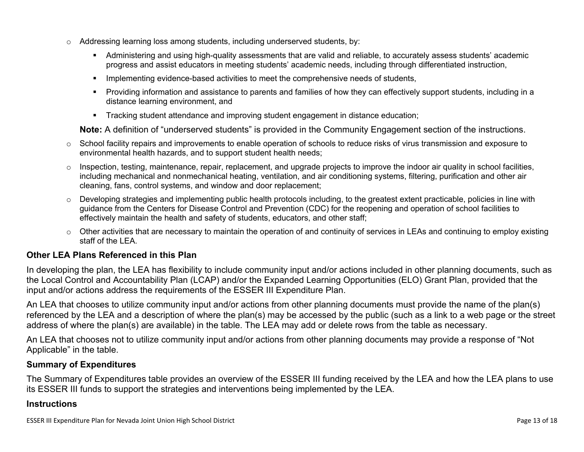- $\circ$  Addressing learning loss among students, including underserved students, by:
	- Administering and using high-quality assessments that are valid and reliable, to accurately assess students' academic progress and assist educators in meeting students' academic needs, including through differentiated instruction,
	- **•** Implementing evidence-based activities to meet the comprehensive needs of students,
	- Providing information and assistance to parents and families of how they can effectively support students, including in a distance learning environment, and
	- Tracking student attendance and improving student engagement in distance education;

**Note:** A definition of "underserved students" is provided in the Community Engagement section of the instructions.

- o School facility repairs and improvements to enable operation of schools to reduce risks of virus transmission and exposure to environmental health hazards, and to support student health needs;
- $\circ$  Inspection, testing, maintenance, repair, replacement, and upgrade projects to improve the indoor air quality in school facilities, including mechanical and nonmechanical heating, ventilation, and air conditioning systems, filtering, purification and other air cleaning, fans, control systems, and window and door replacement;
- $\circ$  Developing strategies and implementing public health protocols including, to the greatest extent practicable, policies in line with guidance from the Centers for Disease Control and Prevention (CDC) for the reopening and operation of school facilities to effectively maintain the health and safety of students, educators, and other staff;
- $\circ$  Other activities that are necessary to maintain the operation of and continuity of services in LEAs and continuing to employ existing staff of the LEA.

#### <span id="page-12-0"></span>**Other LEA Plans Referenced in this Plan**

In developing the plan, the LEA has flexibility to include community input and/or actions included in other planning documents, such as the Local Control and Accountability Plan (LCAP) and/or the Expanded Learning Opportunities (ELO) Grant Plan, provided that the input and/or actions address the requirements of the ESSER III Expenditure Plan.

An LEA that chooses to utilize community input and/or actions from other planning documents must provide the name of the plan(s) referenced by the LEA and a description of where the plan(s) may be accessed by the public (such as a link to a web page or the street address of where the plan(s) are available) in the table. The LEA may add or delete rows from the table as necessary.

An LEA that chooses not to utilize community input and/or actions from other planning documents may provide a response of "Not Applicable" in the table.

#### <span id="page-12-1"></span>**Summary of Expenditures**

The Summary of Expenditures table provides an overview of the ESSER III funding received by the LEA and how the LEA plans to use its ESSER III funds to support the strategies and interventions being implemented by the LEA.

#### **Instructions**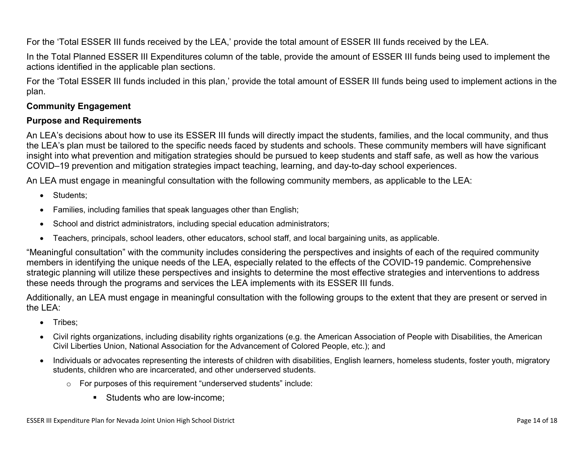For the 'Total ESSER III funds received by the LEA,' provide the total amount of ESSER III funds received by the LEA.

In the Total Planned ESSER III Expenditures column of the table, provide the amount of ESSER III funds being used to implement the actions identified in the applicable plan sections.

For the 'Total ESSER III funds included in this plan,' provide the total amount of ESSER III funds being used to implement actions in the plan.

### <span id="page-13-0"></span>**Community Engagement**

#### **Purpose and Requirements**

An LEA's decisions about how to use its ESSER III funds will directly impact the students, families, and the local community, and thus the LEA's plan must be tailored to the specific needs faced by students and schools. These community members will have significant insight into what prevention and mitigation strategies should be pursued to keep students and staff safe, as well as how the various COVID–19 prevention and mitigation strategies impact teaching, learning, and day-to-day school experiences.

An LEA must engage in meaningful consultation with the following community members, as applicable to the LEA:

- Students:
- Families, including families that speak languages other than English;
- School and district administrators, including special education administrators;
- Teachers, principals, school leaders, other educators, school staff, and local bargaining units, as applicable.

"Meaningful consultation" with the community includes considering the perspectives and insights of each of the required community members in identifying the unique needs of the LEA, especially related to the effects of the COVID-19 pandemic. Comprehensive strategic planning will utilize these perspectives and insights to determine the most effective strategies and interventions to address these needs through the programs and services the LEA implements with its ESSER III funds.

Additionally, an LEA must engage in meaningful consultation with the following groups to the extent that they are present or served in the LEA:

- Tribes:
- Civil rights organizations, including disability rights organizations (e.g. the American Association of People with Disabilities, the American Civil Liberties Union, National Association for the Advancement of Colored People, etc.); and
- Individuals or advocates representing the interests of children with disabilities, English learners, homeless students, foster youth, migratory students, children who are incarcerated, and other underserved students.
	- o For purposes of this requirement "underserved students" include:
		- Students who are low-income: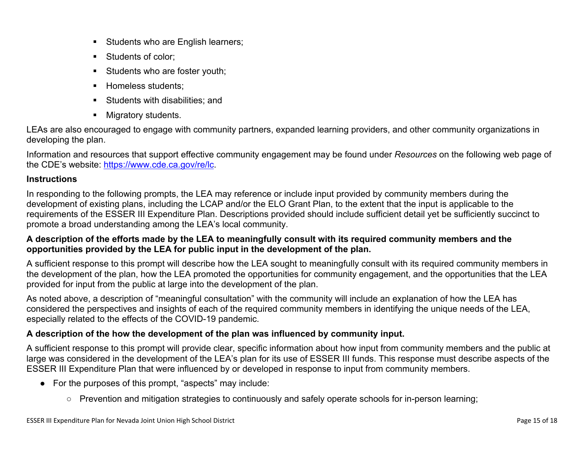- **EXECUTE:** Students who are English learners;
- Students of color:
- **EXECUTE:** Students who are foster youth;
- **E** Homeless students;
- Students with disabilities: and
- Migratory students.

LEAs are also encouraged to engage with community partners, expanded learning providers, and other community organizations in developing the plan.

Information and resources that support effective community engagement may be found under *Resources* on the following web page of the CDE's website: <https://www.cde.ca.gov/re/lc>.

### **Instructions**

In responding to the following prompts, the LEA may reference or include input provided by community members during the development of existing plans, including the LCAP and/or the ELO Grant Plan, to the extent that the input is applicable to the requirements of the ESSER III Expenditure Plan. Descriptions provided should include sufficient detail yet be sufficiently succinct to promote a broad understanding among the LEA's local community.

### **A description of the efforts made by the LEA to meaningfully consult with its required community members and the opportunities provided by the LEA for public input in the development of the plan.**

A sufficient response to this prompt will describe how the LEA sought to meaningfully consult with its required community members in the development of the plan, how the LEA promoted the opportunities for community engagement, and the opportunities that the LEA provided for input from the public at large into the development of the plan.

As noted above, a description of "meaningful consultation" with the community will include an explanation of how the LEA has considered the perspectives and insights of each of the required community members in identifying the unique needs of the LEA, especially related to the effects of the COVID-19 pandemic.

## **A description of the how the development of the plan was influenced by community input.**

A sufficient response to this prompt will provide clear, specific information about how input from community members and the public at large was considered in the development of the LEA's plan for its use of ESSER III funds. This response must describe aspects of the ESSER III Expenditure Plan that were influenced by or developed in response to input from community members.

- For the purposes of this prompt, "aspects" may include:
	- Prevention and mitigation strategies to continuously and safely operate schools for in-person learning;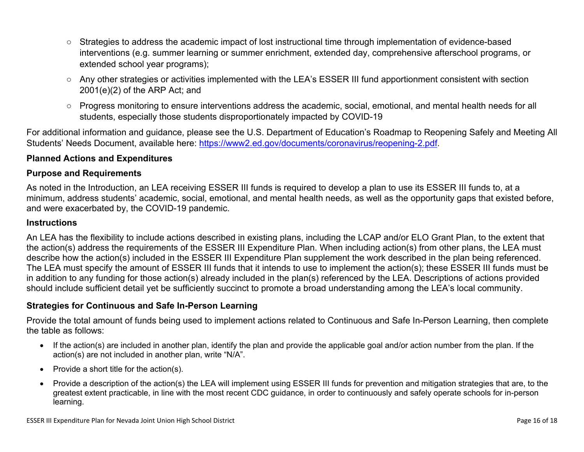- Strategies to address the academic impact of lost instructional time through implementation of evidence-based interventions (e.g. summer learning or summer enrichment, extended day, comprehensive afterschool programs, or extended school year programs);
- Any other strategies or activities implemented with the LEA's ESSER III fund apportionment consistent with section 2001(e)(2) of the ARP Act; and
- Progress monitoring to ensure interventions address the academic, social, emotional, and mental health needs for all students, especially those students disproportionately impacted by COVID-19

For additional information and guidance, please see the U.S. Department of Education's Roadmap to Reopening Safely and Meeting All Students' Needs Document, available here: [https://www2.ed.gov/documents/coronavirus/reopening-2.pdf.](https://www2.ed.gov/documents/coronavirus/reopening-2.pdf)

#### <span id="page-15-0"></span>**Planned Actions and Expenditures**

#### **Purpose and Requirements**

As noted in the Introduction, an LEA receiving ESSER III funds is required to develop a plan to use its ESSER III funds to, at a minimum, address students' academic, social, emotional, and mental health needs, as well as the opportunity gaps that existed before, and were exacerbated by, the COVID-19 pandemic.

#### **Instructions**

An LEA has the flexibility to include actions described in existing plans, including the LCAP and/or ELO Grant Plan, to the extent that the action(s) address the requirements of the ESSER III Expenditure Plan. When including action(s) from other plans, the LEA must describe how the action(s) included in the ESSER III Expenditure Plan supplement the work described in the plan being referenced. The LEA must specify the amount of ESSER III funds that it intends to use to implement the action(s); these ESSER III funds must be in addition to any funding for those action(s) already included in the plan(s) referenced by the LEA. Descriptions of actions provided should include sufficient detail yet be sufficiently succinct to promote a broad understanding among the LEA's local community.

#### <span id="page-15-1"></span>**Strategies for Continuous and Safe In-Person Learning**

Provide the total amount of funds being used to implement actions related to Continuous and Safe In-Person Learning, then complete the table as follows:

- If the action(s) are included in another plan, identify the plan and provide the applicable goal and/or action number from the plan. If the action(s) are not included in another plan, write "N/A".
- Provide a short title for the action(s).
- Provide a description of the action(s) the LEA will implement using ESSER III funds for prevention and mitigation strategies that are, to the greatest extent practicable, in line with the most recent CDC guidance, in order to continuously and safely operate schools for in-person learning.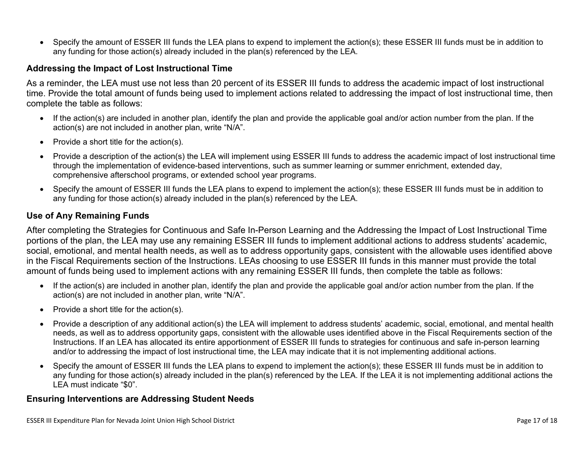• Specify the amount of ESSER III funds the LEA plans to expend to implement the action(s); these ESSER III funds must be in addition to any funding for those action(s) already included in the plan(s) referenced by the LEA.

#### <span id="page-16-0"></span>**Addressing the Impact of Lost Instructional Time**

As a reminder, the LEA must use not less than 20 percent of its ESSER III funds to address the academic impact of lost instructional time. Provide the total amount of funds being used to implement actions related to addressing the impact of lost instructional time, then complete the table as follows:

- If the action(s) are included in another plan, identify the plan and provide the applicable goal and/or action number from the plan. If the action(s) are not included in another plan, write "N/A".
- Provide a short title for the action(s).
- Provide a description of the action(s) the LEA will implement using ESSER III funds to address the academic impact of lost instructional time through the implementation of evidence-based interventions, such as summer learning or summer enrichment, extended day, comprehensive afterschool programs, or extended school year programs.
- Specify the amount of ESSER III funds the LEA plans to expend to implement the action(s); these ESSER III funds must be in addition to any funding for those action(s) already included in the plan(s) referenced by the LEA.

#### <span id="page-16-1"></span>**Use of Any Remaining Funds**

After completing the Strategies for Continuous and Safe In-Person Learning and the Addressing the Impact of Lost Instructional Time portions of the plan, the LEA may use any remaining ESSER III funds to implement additional actions to address students' academic, social, emotional, and mental health needs, as well as to address opportunity gaps, consistent with the allowable uses identified above in the Fiscal Requirements section of the Instructions. LEAs choosing to use ESSER III funds in this manner must provide the total amount of funds being used to implement actions with any remaining ESSER III funds, then complete the table as follows:

- If the action(s) are included in another plan, identify the plan and provide the applicable goal and/or action number from the plan. If the action(s) are not included in another plan, write "N/A".
- Provide a short title for the action(s).
- Provide a description of any additional action(s) the LEA will implement to address students' academic, social, emotional, and mental health needs, as well as to address opportunity gaps, consistent with the allowable uses identified above in the Fiscal Requirements section of the Instructions. If an LEA has allocated its entire apportionment of ESSER III funds to strategies for continuous and safe in-person learning and/or to addressing the impact of lost instructional time, the LEA may indicate that it is not implementing additional actions.
- Specify the amount of ESSER III funds the LEA plans to expend to implement the action(s); these ESSER III funds must be in addition to any funding for those action(s) already included in the plan(s) referenced by the LEA. If the LEA it is not implementing additional actions the LEA must indicate "\$0".

#### <span id="page-16-2"></span>**Ensuring Interventions are Addressing Student Needs**